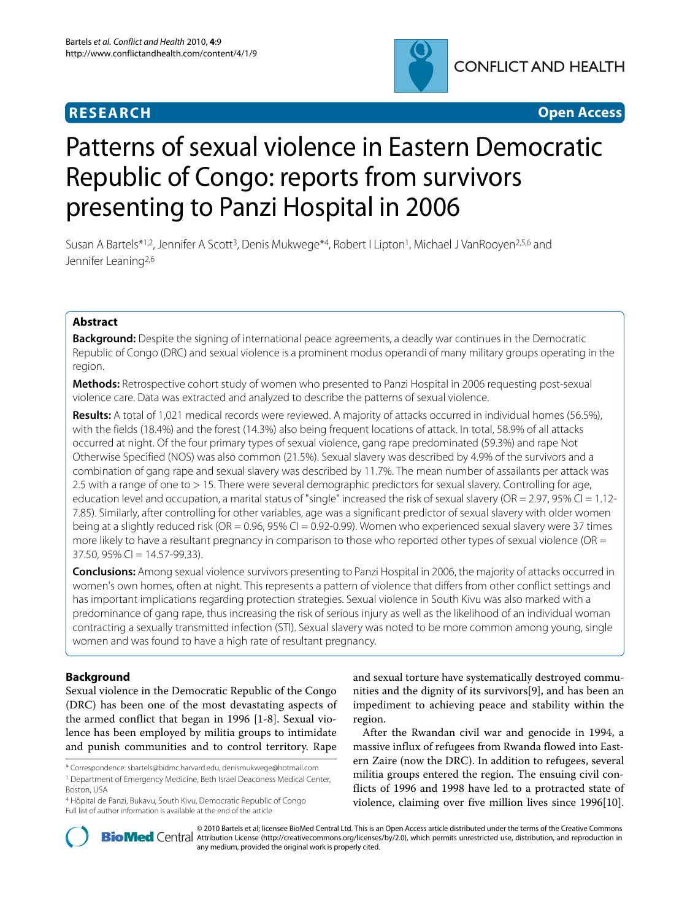

**RESEARCH Open Access**

# Patterns of sexual violence in Eastern Democratic Republic of Congo: reports from survivors presenting to Panzi Hospital in 2006

Susan A Bartels\*<sup>1,2</sup>, Jennifer A Scott<sup>3</sup>, Denis Mukwege\*<sup>4</sup>, Robert I Lipton<sup>1</sup>, Michael J VanRooyen<sup>2,5,6</sup> and Jennifer Leaning2,6

# **Abstract**

**Background:** Despite the signing of international peace agreements, a deadly war continues in the Democratic Republic of Congo (DRC) and sexual violence is a prominent modus operandi of many military groups operating in the region.

**Methods:** Retrospective cohort study of women who presented to Panzi Hospital in 2006 requesting post-sexual violence care. Data was extracted and analyzed to describe the patterns of sexual violence.

**Results:** A total of 1,021 medical records were reviewed. A majority of attacks occurred in individual homes (56.5%), with the fields (18.4%) and the forest (14.3%) also being frequent locations of attack. In total, 58.9% of all attacks occurred at night. Of the four primary types of sexual violence, gang rape predominated (59.3%) and rape Not Otherwise Specified (NOS) was also common (21.5%). Sexual slavery was described by 4.9% of the survivors and a combination of gang rape and sexual slavery was described by 11.7%. The mean number of assailants per attack was 2.5 with a range of one to > 15. There were several demographic predictors for sexual slavery. Controlling for age, education level and occupation, a marital status of "single" increased the risk of sexual slavery (OR = 2.97, 95% CI = 1.12-7.85). Similarly, after controlling for other variables, age was a significant predictor of sexual slavery with older women being at a slightly reduced risk (OR = 0.96, 95% CI = 0.92-0.99). Women who experienced sexual slavery were 37 times more likely to have a resultant pregnancy in comparison to those who reported other types of sexual violence (OR = 37.50, 95% CI = 14.57-99.33).

**Conclusions:** Among sexual violence survivors presenting to Panzi Hospital in 2006, the majority of attacks occurred in women's own homes, often at night. This represents a pattern of violence that differs from other conflict settings and has important implications regarding protection strategies. Sexual violence in South Kivu was also marked with a predominance of gang rape, thus increasing the risk of serious injury as well as the likelihood of an individual woman contracting a sexually transmitted infection (STI). Sexual slavery was noted to be more common among young, single women and was found to have a high rate of resultant pregnancy.

# **Background**

Sexual violence in the Democratic Republic of the Congo (DRC) has been one of the most devastating aspects of the armed conflict that began in 1996 [\[1](#page-9-0)-[8\]](#page-9-1). Sexual violence has been employed by militia groups to intimidate and punish communities and to control territory. Rape

\* Correspondence: sbartels@bidmc.harvard.edu, denismukwege@hotmail.com

1 Department of Emergency Medicine, Beth Israel Deaconess Medical Center, Boston, USA

4 Hôpital de Panzi, Bukavu, South Kivu, Democratic Republic of Congo Full list of author information is available at the end of the article

and sexual torture have systematically destroyed communities and the dignity of its survivors[[9\]](#page-9-2), and has been an impediment to achieving peace and stability within the region.

After the Rwandan civil war and genocide in 1994, a massive influx of refugees from Rwanda flowed into Eastern Zaire (now the DRC). In addition to refugees, several militia groups entered the region. The ensuing civil conflicts of 1996 and 1998 have led to a protracted state of violence, claiming over five million lives since 1996[\[10](#page-9-3)].



2010 Bartels et al; licensee [BioMed](http://www.biomedcentral.com/) Central Ltd. This is an Open Access article distributed under the terms of the Creative Commons (http://creativecommons.org/licenses/by/2.0), which permits unrestricted use, distribution any medium, provided the original work is properly cited.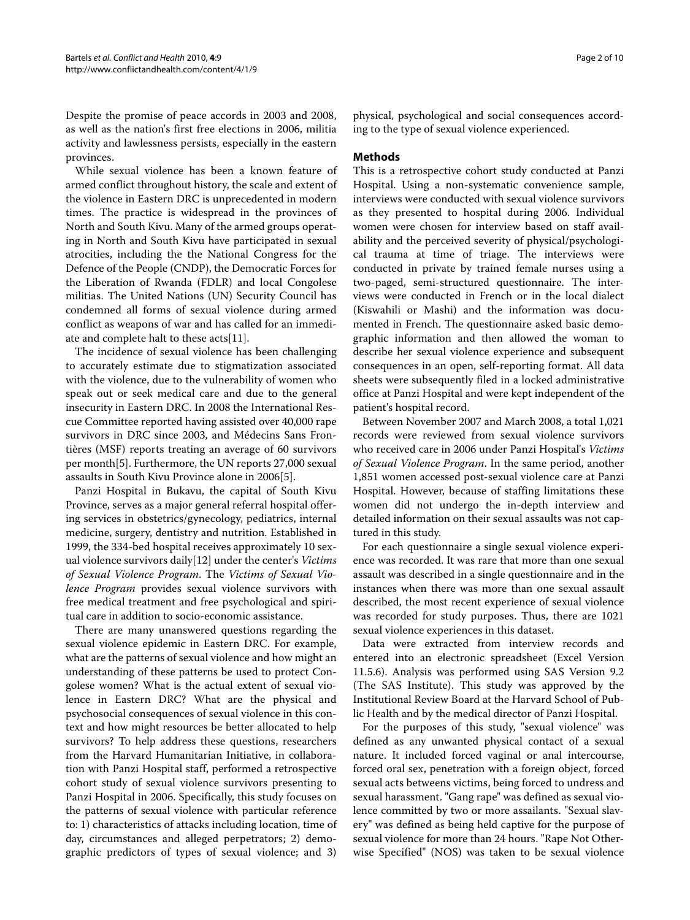Despite the promise of peace accords in 2003 and 2008, as well as the nation's first free elections in 2006, militia activity and lawlessness persists, especially in the eastern provinces.

While sexual violence has been a known feature of armed conflict throughout history, the scale and extent of the violence in Eastern DRC is unprecedented in modern times. The practice is widespread in the provinces of North and South Kivu. Many of the armed groups operating in North and South Kivu have participated in sexual atrocities, including the the National Congress for the Defence of the People (CNDP), the Democratic Forces for the Liberation of Rwanda (FDLR) and local Congolese militias. The United Nations (UN) Security Council has condemned all forms of sexual violence during armed conflict as weapons of war and has called for an immediate and complete halt to these acts[[11\]](#page-9-4).

The incidence of sexual violence has been challenging to accurately estimate due to stigmatization associated with the violence, due to the vulnerability of women who speak out or seek medical care and due to the general insecurity in Eastern DRC. In 2008 the International Rescue Committee reported having assisted over 40,000 rape survivors in DRC since 2003, and Médecins Sans Frontières (MSF) reports treating an average of 60 survivors per month[[5\]](#page-9-5). Furthermore, the UN reports 27,000 sexual assaults in South Kivu Province alone in 2006[[5\]](#page-9-5).

Panzi Hospital in Bukavu, the capital of South Kivu Province, serves as a major general referral hospital offering services in obstetrics/gynecology, pediatrics, internal medicine, surgery, dentistry and nutrition. Established in 1999, the 334-bed hospital receives approximately 10 sexual violence survivors daily[[12](#page-9-6)] under the center's *Victims of Sexual Violence Program*. The *Victims of Sexual Violence Program* provides sexual violence survivors with free medical treatment and free psychological and spiritual care in addition to socio-economic assistance.

There are many unanswered questions regarding the sexual violence epidemic in Eastern DRC. For example, what are the patterns of sexual violence and how might an understanding of these patterns be used to protect Congolese women? What is the actual extent of sexual violence in Eastern DRC? What are the physical and psychosocial consequences of sexual violence in this context and how might resources be better allocated to help survivors? To help address these questions, researchers from the Harvard Humanitarian Initiative, in collaboration with Panzi Hospital staff, performed a retrospective cohort study of sexual violence survivors presenting to Panzi Hospital in 2006. Specifically, this study focuses on the patterns of sexual violence with particular reference to: 1) characteristics of attacks including location, time of day, circumstances and alleged perpetrators; 2) demographic predictors of types of sexual violence; and 3)

physical, psychological and social consequences according to the type of sexual violence experienced.

### **Methods**

This is a retrospective cohort study conducted at Panzi Hospital. Using a non-systematic convenience sample, interviews were conducted with sexual violence survivors as they presented to hospital during 2006. Individual women were chosen for interview based on staff availability and the perceived severity of physical/psychological trauma at time of triage. The interviews were conducted in private by trained female nurses using a two-paged, semi-structured questionnaire. The interviews were conducted in French or in the local dialect (Kiswahili or Mashi) and the information was documented in French. The questionnaire asked basic demographic information and then allowed the woman to describe her sexual violence experience and subsequent consequences in an open, self-reporting format. All data sheets were subsequently filed in a locked administrative office at Panzi Hospital and were kept independent of the patient's hospital record.

Between November 2007 and March 2008, a total 1,021 records were reviewed from sexual violence survivors who received care in 2006 under Panzi Hospital's *Victims of Sexual Violence Program*. In the same period, another 1,851 women accessed post-sexual violence care at Panzi Hospital. However, because of staffing limitations these women did not undergo the in-depth interview and detailed information on their sexual assaults was not captured in this study.

For each questionnaire a single sexual violence experience was recorded. It was rare that more than one sexual assault was described in a single questionnaire and in the instances when there was more than one sexual assault described, the most recent experience of sexual violence was recorded for study purposes. Thus, there are 1021 sexual violence experiences in this dataset.

Data were extracted from interview records and entered into an electronic spreadsheet (Excel Version 11.5.6). Analysis was performed using SAS Version 9.2 (The SAS Institute). This study was approved by the Institutional Review Board at the Harvard School of Public Health and by the medical director of Panzi Hospital.

For the purposes of this study, "sexual violence" was defined as any unwanted physical contact of a sexual nature. It included forced vaginal or anal intercourse, forced oral sex, penetration with a foreign object, forced sexual acts betweens victims, being forced to undress and sexual harassment. "Gang rape" was defined as sexual violence committed by two or more assailants. "Sexual slavery" was defined as being held captive for the purpose of sexual violence for more than 24 hours. "Rape Not Otherwise Specified" (NOS) was taken to be sexual violence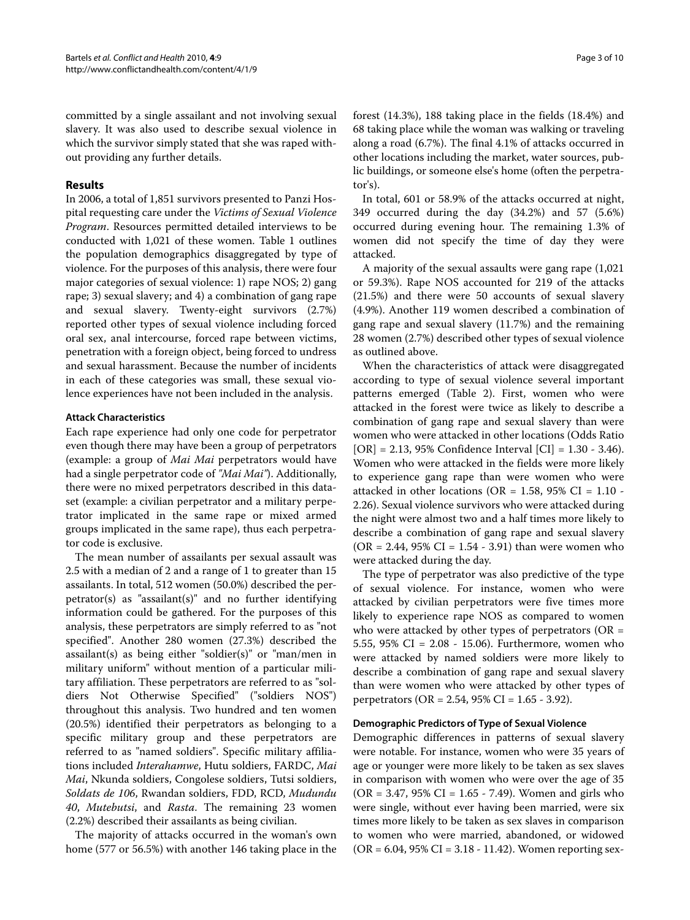committed by a single assailant and not involving sexual slavery. It was also used to describe sexual violence in which the survivor simply stated that she was raped without providing any further details.

# **Results**

In 2006, a total of 1,851 survivors presented to Panzi Hospital requesting care under the *Victims of Sexual Violence Program*. Resources permitted detailed interviews to be conducted with 1,021 of these women. Table [1](#page-3-0) outlines the population demographics disaggregated by type of violence. For the purposes of this analysis, there were four major categories of sexual violence: 1) rape NOS; 2) gang rape; 3) sexual slavery; and 4) a combination of gang rape and sexual slavery. Twenty-eight survivors (2.7%) reported other types of sexual violence including forced oral sex, anal intercourse, forced rape between victims, penetration with a foreign object, being forced to undress and sexual harassment. Because the number of incidents in each of these categories was small, these sexual violence experiences have not been included in the analysis.

# **Attack Characteristics**

Each rape experience had only one code for perpetrator even though there may have been a group of perpetrators (example: a group of *Mai Mai* perpetrators would have had a single perpetrator code of *"Mai Mai"*). Additionally, there were no mixed perpetrators described in this dataset (example: a civilian perpetrator and a military perpetrator implicated in the same rape or mixed armed groups implicated in the same rape), thus each perpetrator code is exclusive.

The mean number of assailants per sexual assault was 2.5 with a median of 2 and a range of 1 to greater than 15 assailants. In total, 512 women (50.0%) described the perpetrator(s) as "assailant(s)" and no further identifying information could be gathered. For the purposes of this analysis, these perpetrators are simply referred to as "not specified". Another 280 women (27.3%) described the assailant(s) as being either "soldier(s)" or "man/men in military uniform" without mention of a particular military affiliation. These perpetrators are referred to as "soldiers Not Otherwise Specified" ("soldiers NOS") throughout this analysis. Two hundred and ten women (20.5%) identified their perpetrators as belonging to a specific military group and these perpetrators are referred to as "named soldiers". Specific military affiliations included *Interahamwe*, Hutu soldiers, FARDC, *Mai Mai*, Nkunda soldiers, Congolese soldiers, Tutsi soldiers, *Soldats de 106*, Rwandan soldiers, FDD, RCD, *Mudundu 40*, *Mutebutsi*, and *Rasta*. The remaining 23 women (2.2%) described their assailants as being civilian.

The majority of attacks occurred in the woman's own home (577 or 56.5%) with another 146 taking place in the

forest (14.3%), 188 taking place in the fields (18.4%) and 68 taking place while the woman was walking or traveling along a road (6.7%). The final 4.1% of attacks occurred in other locations including the market, water sources, public buildings, or someone else's home (often the perpetrator's).

In total, 601 or 58.9% of the attacks occurred at night, 349 occurred during the day (34.2%) and 57 (5.6%) occurred during evening hour. The remaining 1.3% of women did not specify the time of day they were attacked.

A majority of the sexual assaults were gang rape (1,021 or 59.3%). Rape NOS accounted for 219 of the attacks (21.5%) and there were 50 accounts of sexual slavery (4.9%). Another 119 women described a combination of gang rape and sexual slavery (11.7%) and the remaining 28 women (2.7%) described other types of sexual violence as outlined above.

When the characteristics of attack were disaggregated according to type of sexual violence several important patterns emerged (Table 2). First, women who were attacked in the forest were twice as likely to describe a combination of gang rape and sexual slavery than were women who were attacked in other locations (Odds Ratio  $[OR] = 2.13, 95\%$  Confidence Interval  $[CI] = 1.30 - 3.46$ . Women who were attacked in the fields were more likely to experience gang rape than were women who were attacked in other locations (OR =  $1.58$ , 95% CI =  $1.10$  -2.26). Sexual violence survivors who were attacked during the night were almost two and a half times more likely to describe a combination of gang rape and sexual slavery  $(OR = 2.44, 95\% CI = 1.54 - 3.91)$  than were women who were attacked during the day.

The type of perpetrator was also predictive of the type of sexual violence. For instance, women who were attacked by civilian perpetrators were five times more likely to experience rape NOS as compared to women who were attacked by other types of perpetrators ( $OR =$ 5.55, 95% CI = 2.08 - 15.06). Furthermore, women who were attacked by named soldiers were more likely to describe a combination of gang rape and sexual slavery than were women who were attacked by other types of perpetrators (OR = 2.54, 95% CI = 1.65 - 3.92).

#### **Demographic Predictors of Type of Sexual Violence**

Demographic differences in patterns of sexual slavery were notable. For instance, women who were 35 years of age or younger were more likely to be taken as sex slaves in comparison with women who were over the age of 35  $(OR = 3.47, 95\% CI = 1.65 - 7.49)$ . Women and girls who were single, without ever having been married, were six times more likely to be taken as sex slaves in comparison to women who were married, abandoned, or widowed  $(OR = 6.04, 95\% CI = 3.18 - 11.42)$ . Women reporting sex-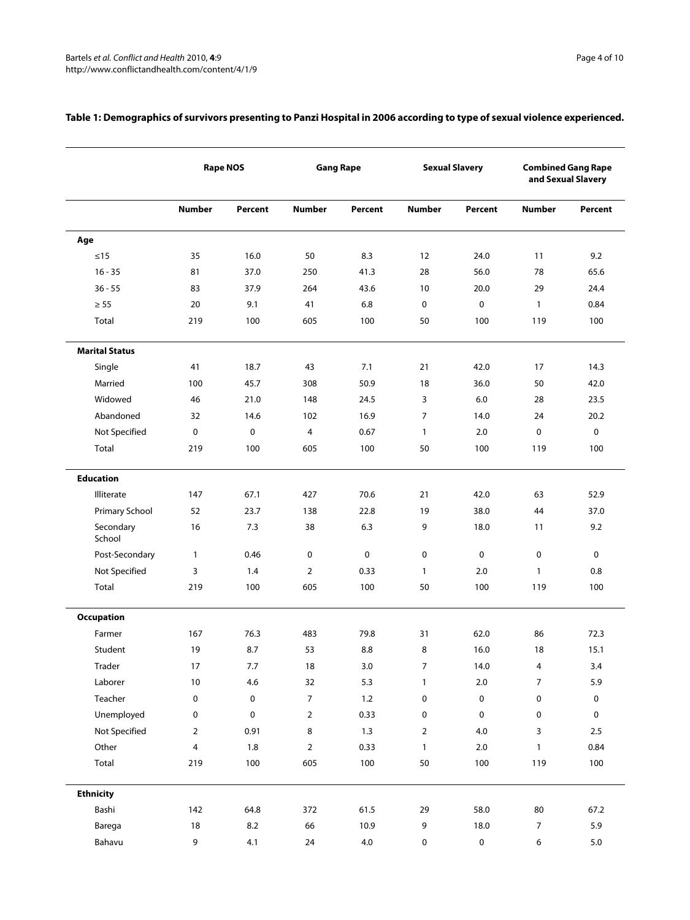|                       | <b>Rape NOS</b>         |           | <b>Gang Rape</b> |         | <b>Sexual Slavery</b> |                | <b>Combined Gang Rape</b><br>and Sexual Slavery |             |
|-----------------------|-------------------------|-----------|------------------|---------|-----------------------|----------------|-------------------------------------------------|-------------|
|                       | <b>Number</b>           | Percent   | Number           | Percent | <b>Number</b>         | <b>Percent</b> | <b>Number</b>                                   | Percent     |
| Age                   |                         |           |                  |         |                       |                |                                                 |             |
| $\leq 15$             | 35                      | 16.0      | 50               | 8.3     | 12                    | 24.0           | 11                                              | 9.2         |
| $16 - 35$             | 81                      | 37.0      | 250              | 41.3    | 28                    | 56.0           | 78                                              | 65.6        |
| $36 - 55$             | 83                      | 37.9      | 264              | 43.6    | 10                    | 20.0           | 29                                              | 24.4        |
| $\geq 55$             | 20                      | 9.1       | 41               | 6.8     | $\mathbf 0$           | 0              | $\mathbf{1}$                                    | 0.84        |
| Total                 | 219                     | 100       | 605              | 100     | 50                    | 100            | 119                                             | 100         |
| <b>Marital Status</b> |                         |           |                  |         |                       |                |                                                 |             |
| Single                | 41                      | 18.7      | 43               | 7.1     | 21                    | 42.0           | 17                                              | 14.3        |
| Married               | 100                     | 45.7      | 308              | 50.9    | 18                    | 36.0           | 50                                              | 42.0        |
| Widowed               | 46                      | 21.0      | 148              | 24.5    | 3                     | 6.0            | 28                                              | 23.5        |
| Abandoned             | 32                      | 14.6      | 102              | 16.9    | $\overline{7}$        | 14.0           | 24                                              | 20.2        |
| Not Specified         | 0                       | $\pmb{0}$ | 4                | 0.67    | $\mathbf{1}$          | 2.0            | $\mathbf 0$                                     | $\mathbf 0$ |
| Total                 | 219                     | 100       | 605              | 100     | 50                    | 100            | 119                                             | 100         |
| <b>Education</b>      |                         |           |                  |         |                       |                |                                                 |             |
| Illiterate            | 147                     | 67.1      | 427              | 70.6    | 21                    | 42.0           | 63                                              | 52.9        |
| <b>Primary School</b> | 52                      | 23.7      | 138              | 22.8    | 19                    | 38.0           | 44                                              | 37.0        |
| Secondary<br>School   | 16                      | 7.3       | 38               | 6.3     | 9                     | 18.0           | 11                                              | 9.2         |
| Post-Secondary        | $\mathbf{1}$            | 0.46      | 0                | 0       | $\mathbf 0$           | 0              | 0                                               | $\mathbf 0$ |
| Not Specified         | 3                       | 1.4       | $\overline{2}$   | 0.33    | $\mathbf{1}$          | 2.0            | $\mathbf{1}$                                    | 0.8         |
| Total                 | 219                     | 100       | 605              | 100     | 50                    | 100            | 119                                             | 100         |
| <b>Occupation</b>     |                         |           |                  |         |                       |                |                                                 |             |
| Farmer                | 167                     | 76.3      | 483              | 79.8    | 31                    | 62.0           | 86                                              | 72.3        |
| Student               | 19                      | 8.7       | 53               | 8.8     | 8                     | 16.0           | 18                                              | 15.1        |
| Trader                | 17                      | 7.7       | 18               | 3.0     | $\overline{7}$        | 14.0           | 4                                               | 3.4         |
| Laborer               | $10\,$                  | 4.6       | 32               | 5.3     | $\mathbf{1}$          | $2.0\,$        | $\overline{7}$                                  | 5.9         |
| Teacher               | 0                       | 0         | $\overline{7}$   | $1.2\,$ | $\pmb{0}$             | $\pmb{0}$      | $\pmb{0}$                                       | $\mathbf 0$ |
| Unemployed            | $\pmb{0}$               | 0         | $\overline{2}$   | 0.33    | $\pmb{0}$             | $\mathbf 0$    | $\mathbf 0$                                     | $\pmb{0}$   |
| Not Specified         | $\overline{2}$          | 0.91      | $\bf 8$          | 1.3     | $\overline{2}$        | $4.0\,$        | 3                                               | 2.5         |
| Other                 | $\overline{\mathbf{4}}$ | 1.8       | $\overline{2}$   | 0.33    | $\mathbf{1}$          | $2.0$          | $\mathbf{1}$                                    | 0.84        |
| Total                 | 219                     | 100       | 605              | 100     | 50                    | 100            | 119                                             | 100         |
| <b>Ethnicity</b>      |                         |           |                  |         |                       |                |                                                 |             |
| Bashi                 | 142                     | 64.8      | 372              | 61.5    | 29                    | 58.0           | 80                                              | 67.2        |
| Barega                | 18                      | $8.2\,$   | 66               | 10.9    | 9                     | 18.0           | $\overline{7}$                                  | 5.9         |
| Bahavu                | 9                       | 4.1       | 24               | $4.0\,$ | $\pmb{0}$             | $\pmb{0}$      | $\boldsymbol{6}$                                | $5.0\,$     |

# <span id="page-3-0"></span>**Table 1: Demographics of survivors presenting to Panzi Hospital in 2006 according to type of sexual violence experienced.**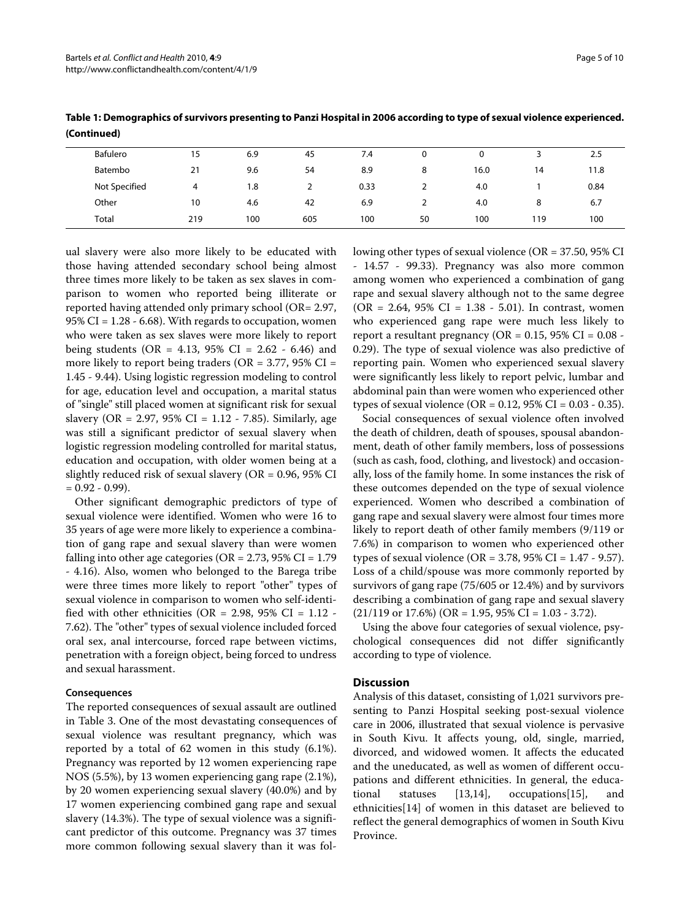| $\sqrt{2}$    |     |     |     |      |    |      |     |      |
|---------------|-----|-----|-----|------|----|------|-----|------|
| Bafulero      | 15  | 6.9 | 45  | 7.4  | 0  |      |     | 2.5  |
| Batembo       | 21  | 9.6 | 54  | 8.9  | 8  | 16.0 | 14  | 11.8 |
| Not Specified | 4   | 1.8 |     | 0.33 | 2  | 4.0  |     | 0.84 |
| Other         | 10  | 4.6 | 42  | 6.9  |    | 4.0  | 8   | 6.7  |
| Total         | 219 | 100 | 605 | 100  | 50 | 100  | 119 | 100  |

**Table 1: Demographics of survivors presenting to Panzi Hospital in 2006 according to type of sexual violence experienced. (Continued)**

ual slavery were also more likely to be educated with those having attended secondary school being almost three times more likely to be taken as sex slaves in comparison to women who reported being illiterate or reported having attended only primary school (OR= 2.97, 95% CI = 1.28 - 6.68). With regards to occupation, women who were taken as sex slaves were more likely to report being students (OR = 4.13,  $95\%$  CI = 2.62 - 6.46) and more likely to report being traders ( $OR = 3.77$ , 95%  $CI =$ 1.45 - 9.44). Using logistic regression modeling to control for age, education level and occupation, a marital status of "single" still placed women at significant risk for sexual slavery (OR = 2.97, 95% CI = 1.12 - 7.85). Similarly, age was still a significant predictor of sexual slavery when logistic regression modeling controlled for marital status, education and occupation, with older women being at a slightly reduced risk of sexual slavery ( $OR = 0.96$ , 95% CI  $= 0.92 - 0.99$ ).

Other significant demographic predictors of type of sexual violence were identified. Women who were 16 to 35 years of age were more likely to experience a combination of gang rape and sexual slavery than were women falling into other age categories ( $OR = 2.73$ ,  $95\% CI = 1.79$ - 4.16). Also, women who belonged to the Barega tribe were three times more likely to report "other" types of sexual violence in comparison to women who self-identified with other ethnicities (OR =  $2.98$ ,  $95\%$  CI =  $1.12$  -7.62). The "other" types of sexual violence included forced oral sex, anal intercourse, forced rape between victims, penetration with a foreign object, being forced to undress and sexual harassment.

#### **Consequences**

The reported consequences of sexual assault are outlined in Table 3. One of the most devastating consequences of sexual violence was resultant pregnancy, which was reported by a total of 62 women in this study (6.1%). Pregnancy was reported by 12 women experiencing rape NOS (5.5%), by 13 women experiencing gang rape (2.1%), by 20 women experiencing sexual slavery (40.0%) and by 17 women experiencing combined gang rape and sexual slavery (14.3%). The type of sexual violence was a significant predictor of this outcome. Pregnancy was 37 times more common following sexual slavery than it was following other types of sexual violence (OR = 37.50, 95% CI - 14.57 - 99.33). Pregnancy was also more common among women who experienced a combination of gang rape and sexual slavery although not to the same degree  $(OR = 2.64, 95\% \text{ CI} = 1.38 - 5.01)$ . In contrast, women who experienced gang rape were much less likely to report a resultant pregnancy ( $OR = 0.15$ ,  $95\%$  CI = 0.08 -0.29). The type of sexual violence was also predictive of reporting pain. Women who experienced sexual slavery were significantly less likely to report pelvic, lumbar and abdominal pain than were women who experienced other types of sexual violence (OR = 0.12, 95% CI = 0.03 - 0.35).

Social consequences of sexual violence often involved the death of children, death of spouses, spousal abandonment, death of other family members, loss of possessions (such as cash, food, clothing, and livestock) and occasionally, loss of the family home. In some instances the risk of these outcomes depended on the type of sexual violence experienced. Women who described a combination of gang rape and sexual slavery were almost four times more likely to report death of other family members (9/119 or 7.6%) in comparison to women who experienced other types of sexual violence (OR = 3.78,  $95\%$  CI = 1.47 - 9.57). Loss of a child/spouse was more commonly reported by survivors of gang rape (75/605 or 12.4%) and by survivors describing a combination of gang rape and sexual slavery  $(21/119 \text{ or } 17.6\%)$  (OR = 1.95, 95% CI = 1.03 - 3.72).

Using the above four categories of sexual violence, psychological consequences did not differ significantly according to type of violence.

#### **Discussion**

Analysis of this dataset, consisting of 1,021 survivors presenting to Panzi Hospital seeking post-sexual violence care in 2006, illustrated that sexual violence is pervasive in South Kivu. It affects young, old, single, married, divorced, and widowed women. It affects the educated and the uneducated, as well as women of different occupations and different ethnicities. In general, the educational statuses [[13,](#page-9-7)[14\]](#page-9-8), occupations[\[15\]](#page-9-9), and ethnicities[\[14](#page-9-8)] of women in this dataset are believed to reflect the general demographics of women in South Kivu Province.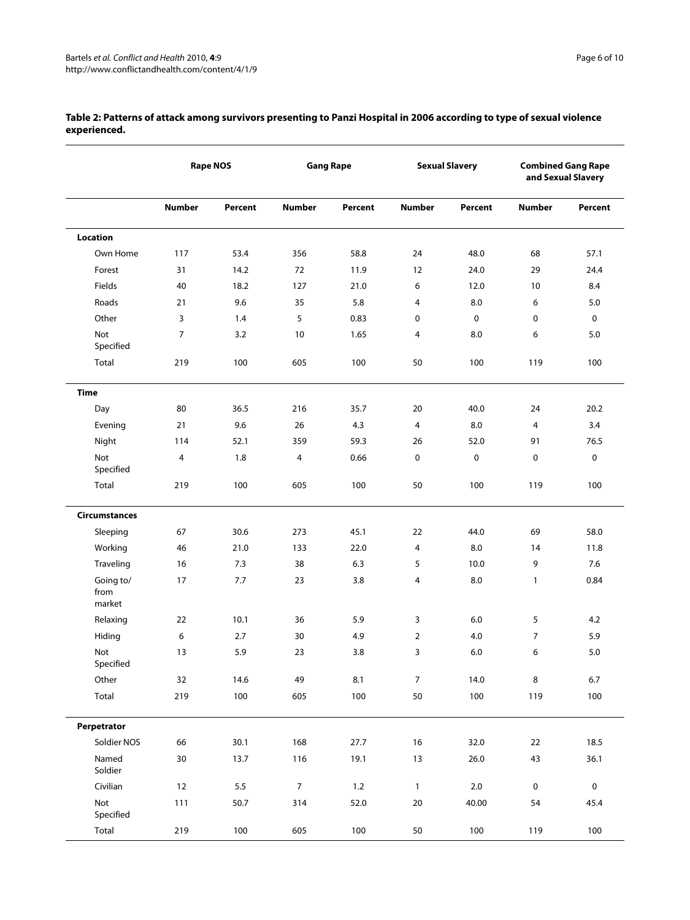|                             | <b>Rape NOS</b> |         | <b>Gang Rape</b> |         | <b>Sexual Slavery</b> |         | <b>Combined Gang Rape</b><br>and Sexual Slavery |             |
|-----------------------------|-----------------|---------|------------------|---------|-----------------------|---------|-------------------------------------------------|-------------|
|                             | <b>Number</b>   | Percent | <b>Number</b>    | Percent | <b>Number</b>         | Percent | <b>Number</b>                                   | Percent     |
| <b>Location</b>             |                 |         |                  |         |                       |         |                                                 |             |
| Own Home                    | 117             | 53.4    | 356              | 58.8    | 24                    | 48.0    | 68                                              | 57.1        |
| Forest                      | 31              | 14.2    | 72               | 11.9    | 12                    | 24.0    | 29                                              | 24.4        |
| Fields                      | 40              | 18.2    | 127              | 21.0    | 6                     | 12.0    | 10                                              | 8.4         |
| Roads                       | 21              | 9.6     | 35               | 5.8     | 4                     | 8.0     | 6                                               | 5.0         |
| Other                       | 3               | 1.4     | 5                | 0.83    | 0                     | 0       | $\mathbf 0$                                     | $\mathbf 0$ |
| Not<br>Specified            | $\overline{7}$  | 3.2     | 10               | 1.65    | 4                     | 8.0     | 6                                               | 5.0         |
| Total                       | 219             | 100     | 605              | 100     | 50                    | 100     | 119                                             | 100         |
| <b>Time</b>                 |                 |         |                  |         |                       |         |                                                 |             |
| Day                         | 80              | 36.5    | 216              | 35.7    | 20                    | 40.0    | 24                                              | 20.2        |
| Evening                     | 21              | 9.6     | 26               | 4.3     | 4                     | 8.0     | $\overline{4}$                                  | 3.4         |
| Night                       | 114             | 52.1    | 359              | 59.3    | 26                    | 52.0    | 91                                              | 76.5        |
| Not<br>Specified            | 4               | 1.8     | 4                | 0.66    | 0                     | 0       | $\mathbf 0$                                     | $\mathbf 0$ |
| Total                       | 219             | 100     | 605              | 100     | 50                    | 100     | 119                                             | 100         |
| <b>Circumstances</b>        |                 |         |                  |         |                       |         |                                                 |             |
| Sleeping                    | 67              | 30.6    | 273              | 45.1    | 22                    | 44.0    | 69                                              | 58.0        |
| Working                     | 46              | 21.0    | 133              | 22.0    | 4                     | 8.0     | 14                                              | 11.8        |
| Traveling                   | 16              | 7.3     | 38               | 6.3     | 5                     | 10.0    | 9                                               | 7.6         |
| Going to/<br>from<br>market | 17              | 7.7     | 23               | 3.8     | 4                     | 8.0     | $\mathbf{1}$                                    | 0.84        |
| Relaxing                    | 22              | 10.1    | 36               | 5.9     | 3                     | 6.0     | 5                                               | 4.2         |
| Hiding                      | 6               | 2.7     | 30               | 4.9     | 2                     | 4.0     | 7                                               | 5.9         |
| Not<br>Specified            | 13              | 5.9     | 23               | 3.8     | 3                     | 6.0     | 6                                               | 5.0         |
| Other                       | 32              | 14.6    | 49               | 8.1     | $\overline{7}$        | 14.0    | 8                                               | $6.7\,$     |
| Total                       | 219             | 100     | 605              | 100     | 50                    | 100     | 119                                             | 100         |
| Perpetrator                 |                 |         |                  |         |                       |         |                                                 |             |
| Soldier NOS                 | 66              | 30.1    | 168              | 27.7    | 16                    | 32.0    | 22                                              | 18.5        |
| Named<br>Soldier            | 30              | 13.7    | 116              | 19.1    | 13                    | 26.0    | 43                                              | 36.1        |
| Civilian                    | 12              | $5.5\,$ | $\overline{7}$   | $1.2\,$ | $\mathbf{1}$          | $2.0\,$ | $\mathbf 0$                                     | $\pmb{0}$   |
| Not<br>Specified            | 111             | 50.7    | 314              | 52.0    | 20                    | 40.00   | 54                                              | 45.4        |
| Total                       | 219             | 100     | 605              | 100     | 50                    | 100     | 119                                             | 100         |

# **Table 2: Patterns of attack among survivors presenting to Panzi Hospital in 2006 according to type of sexual violence experienced.**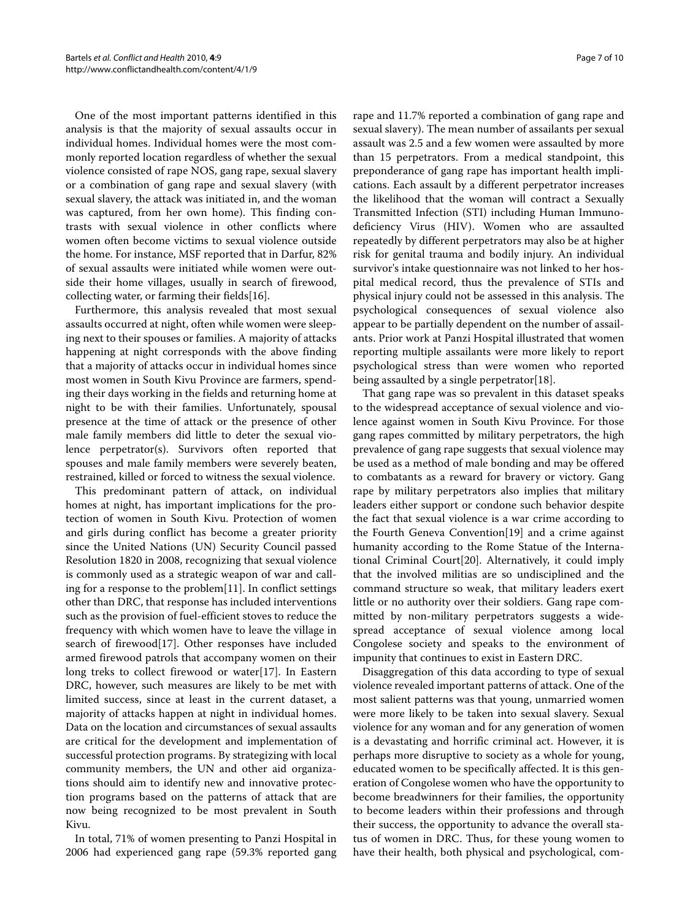One of the most important patterns identified in this analysis is that the majority of sexual assaults occur in individual homes. Individual homes were the most commonly reported location regardless of whether the sexual violence consisted of rape NOS, gang rape, sexual slavery or a combination of gang rape and sexual slavery (with sexual slavery, the attack was initiated in, and the woman was captured, from her own home). This finding contrasts with sexual violence in other conflicts where women often become victims to sexual violence outside the home. For instance, MSF reported that in Darfur, 82% of sexual assaults were initiated while women were outside their home villages, usually in search of firewood, collecting water, or farming their fields[[16\]](#page-9-10).

Furthermore, this analysis revealed that most sexual assaults occurred at night, often while women were sleeping next to their spouses or families. A majority of attacks happening at night corresponds with the above finding that a majority of attacks occur in individual homes since most women in South Kivu Province are farmers, spending their days working in the fields and returning home at night to be with their families. Unfortunately, spousal presence at the time of attack or the presence of other male family members did little to deter the sexual violence perpetrator(s). Survivors often reported that spouses and male family members were severely beaten, restrained, killed or forced to witness the sexual violence.

This predominant pattern of attack, on individual homes at night, has important implications for the protection of women in South Kivu. Protection of women and girls during conflict has become a greater priority since the United Nations (UN) Security Council passed Resolution 1820 in 2008, recognizing that sexual violence is commonly used as a strategic weapon of war and calling for a response to the problem[\[11](#page-9-4)]. In conflict settings other than DRC, that response has included interventions such as the provision of fuel-efficient stoves to reduce the frequency with which women have to leave the village in search of firewood[\[17](#page-9-11)]. Other responses have included armed firewood patrols that accompany women on their long treks to collect firewood or water[\[17\]](#page-9-11). In Eastern DRC, however, such measures are likely to be met with limited success, since at least in the current dataset, a majority of attacks happen at night in individual homes. Data on the location and circumstances of sexual assaults are critical for the development and implementation of successful protection programs. By strategizing with local community members, the UN and other aid organizations should aim to identify new and innovative protection programs based on the patterns of attack that are now being recognized to be most prevalent in South Kivu.

In total, 71% of women presenting to Panzi Hospital in 2006 had experienced gang rape (59.3% reported gang

rape and 11.7% reported a combination of gang rape and sexual slavery). The mean number of assailants per sexual assault was 2.5 and a few women were assaulted by more than 15 perpetrators. From a medical standpoint, this preponderance of gang rape has important health implications. Each assault by a different perpetrator increases the likelihood that the woman will contract a Sexually Transmitted Infection (STI) including Human Immunodeficiency Virus (HIV). Women who are assaulted repeatedly by different perpetrators may also be at higher risk for genital trauma and bodily injury. An individual survivor's intake questionnaire was not linked to her hospital medical record, thus the prevalence of STIs and physical injury could not be assessed in this analysis. The psychological consequences of sexual violence also appear to be partially dependent on the number of assailants. Prior work at Panzi Hospital illustrated that women reporting multiple assailants were more likely to report psychological stress than were women who reported

That gang rape was so prevalent in this dataset speaks to the widespread acceptance of sexual violence and violence against women in South Kivu Province. For those gang rapes committed by military perpetrators, the high prevalence of gang rape suggests that sexual violence may be used as a method of male bonding and may be offered to combatants as a reward for bravery or victory. Gang rape by military perpetrators also implies that military leaders either support or condone such behavior despite the fact that sexual violence is a war crime according to the Fourth Geneva Convention[[19\]](#page-9-13) and a crime against humanity according to the Rome Statue of the International Criminal Court[[20](#page-9-14)]. Alternatively, it could imply that the involved militias are so undisciplined and the command structure so weak, that military leaders exert little or no authority over their soldiers. Gang rape committed by non-military perpetrators suggests a widespread acceptance of sexual violence among local Congolese society and speaks to the environment of impunity that continues to exist in Eastern DRC.

being assaulted by a single perpetrator[\[18](#page-9-12)].

Disaggregation of this data according to type of sexual violence revealed important patterns of attack. One of the most salient patterns was that young, unmarried women were more likely to be taken into sexual slavery. Sexual violence for any woman and for any generation of women is a devastating and horrific criminal act. However, it is perhaps more disruptive to society as a whole for young, educated women to be specifically affected. It is this generation of Congolese women who have the opportunity to become breadwinners for their families, the opportunity to become leaders within their professions and through their success, the opportunity to advance the overall status of women in DRC. Thus, for these young women to have their health, both physical and psychological, com-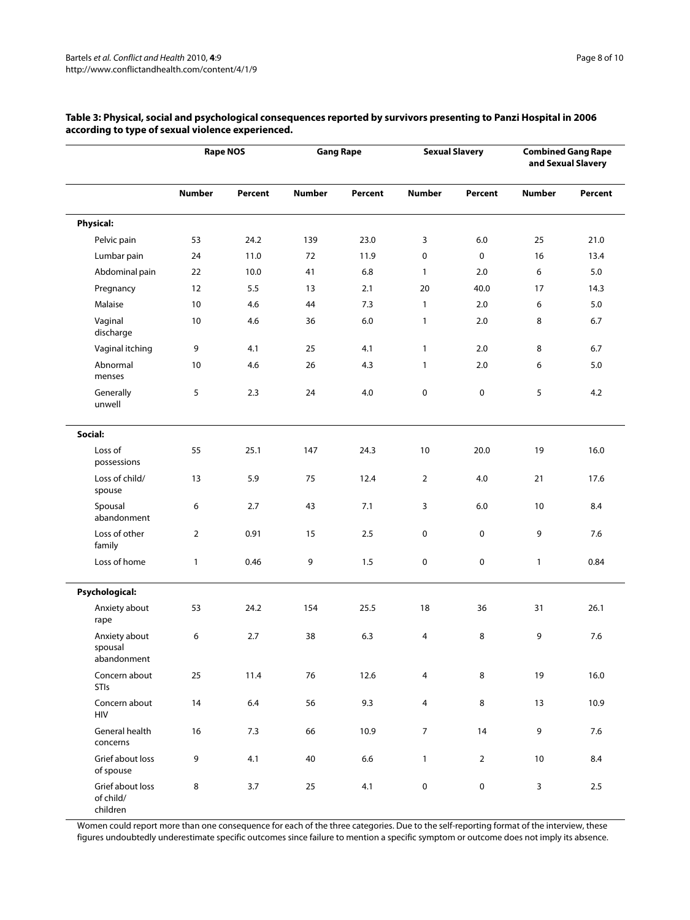|                                           | <b>Rape NOS</b> |         | <b>Gang Rape</b> |         | <b>Sexual Slavery</b> |                | <b>Combined Gang Rape</b><br>and Sexual Slavery |         |
|-------------------------------------------|-----------------|---------|------------------|---------|-----------------------|----------------|-------------------------------------------------|---------|
|                                           | <b>Number</b>   | Percent | <b>Number</b>    | Percent | <b>Number</b>         | Percent        | <b>Number</b>                                   | Percent |
| <b>Physical:</b>                          |                 |         |                  |         |                       |                |                                                 |         |
| Pelvic pain                               | 53              | 24.2    | 139              | 23.0    | 3                     | 6.0            | 25                                              | 21.0    |
| Lumbar pain                               | 24              | 11.0    | 72               | 11.9    | $\mathbf 0$           | $\mathbf 0$    | 16                                              | 13.4    |
| Abdominal pain                            | 22              | 10.0    | 41               | 6.8     | $\mathbf{1}$          | 2.0            | 6                                               | 5.0     |
| Pregnancy                                 | 12              | 5.5     | 13               | 2.1     | 20                    | 40.0           | 17                                              | 14.3    |
| Malaise                                   | 10              | 4.6     | 44               | 7.3     | $\mathbf{1}$          | 2.0            | 6                                               | 5.0     |
| Vaginal<br>discharge                      | 10              | 4.6     | 36               | $6.0$   | $\mathbf{1}$          | 2.0            | 8                                               | 6.7     |
| Vaginal itching                           | 9               | 4.1     | 25               | 4.1     | $\mathbf{1}$          | 2.0            | 8                                               | 6.7     |
| Abnormal<br>menses                        | 10              | 4.6     | 26               | 4.3     | $\mathbf{1}$          | 2.0            | 6                                               | 5.0     |
| Generally<br>unwell                       | 5               | 2.3     | 24               | 4.0     | 0                     | 0              | 5                                               | 4.2     |
| Social:                                   |                 |         |                  |         |                       |                |                                                 |         |
| Loss of<br>possessions                    | 55              | 25.1    | 147              | 24.3    | 10                    | 20.0           | 19                                              | 16.0    |
| Loss of child/<br>spouse                  | 13              | 5.9     | 75               | 12.4    | $\overline{2}$        | 4.0            | 21                                              | 17.6    |
| Spousal<br>abandonment                    | 6               | 2.7     | 43               | 7.1     | 3                     | 6.0            | 10                                              | 8.4     |
| Loss of other<br>family                   | $\overline{2}$  | 0.91    | 15               | 2.5     | $\mathbf 0$           | $\mathbf 0$    | 9                                               | 7.6     |
| Loss of home                              | $\mathbf{1}$    | 0.46    | 9                | 1.5     | 0                     | 0              | $\mathbf{1}$                                    | 0.84    |
| Psychological:                            |                 |         |                  |         |                       |                |                                                 |         |
| Anxiety about<br>rape                     | 53              | 24.2    | 154              | 25.5    | 18                    | 36             | 31                                              | 26.1    |
| Anxiety about<br>spousal<br>abandonment   | 6               | 2.7     | 38               | 6.3     | 4                     | 8              | 9                                               | 7.6     |
| Concern about<br>STIs                     | 25              | 11.4    | 76               | 12.6    | $\overline{4}$        | 8              | 19                                              | 16.0    |
| Concern about<br>HIV                      | 14              | $6.4\,$ | 56               | 9.3     | $\overline{4}$        | $\bf 8$        | $13$                                            | 10.9    |
| General health<br>concerns                | 16              | $7.3$   | 66               | 10.9    | $\boldsymbol{7}$      | 14             | 9                                               | 7.6     |
| Grief about loss<br>of spouse             | 9               | 4.1     | 40               | 6.6     | $\mathbf{1}$          | $\overline{2}$ | $10\,$                                          | 8.4     |
| Grief about loss<br>of child/<br>children | $\bf 8$         | $3.7\,$ | 25               | 4.1     | $\pmb{0}$             | $\pmb{0}$      | $\mathbf{3}$                                    | $2.5\,$ |

# **Table 3: Physical, social and psychological consequences reported by survivors presenting to Panzi Hospital in 2006 according to type of sexual violence experienced.**

Women could report more than one consequence for each of the three categories. Due to the self-reporting format of the interview, these figures undoubtedly underestimate specific outcomes since failure to mention a specific symptom or outcome does not imply its absence.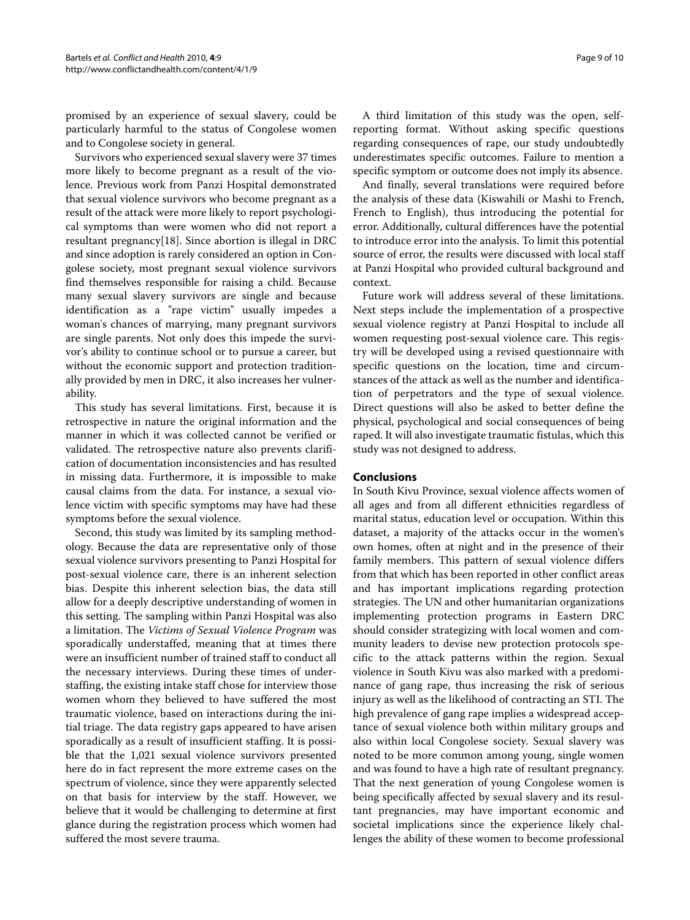promised by an experience of sexual slavery, could be particularly harmful to the status of Congolese women and to Congolese society in general.

Survivors who experienced sexual slavery were 37 times more likely to become pregnant as a result of the violence. Previous work from Panzi Hospital demonstrated that sexual violence survivors who become pregnant as a result of the attack were more likely to report psychological symptoms than were women who did not report a resultant pregnancy[[18\]](#page-9-12). Since abortion is illegal in DRC and since adoption is rarely considered an option in Congolese society, most pregnant sexual violence survivors find themselves responsible for raising a child. Because many sexual slavery survivors are single and because identification as a "rape victim" usually impedes a woman's chances of marrying, many pregnant survivors are single parents. Not only does this impede the survivor's ability to continue school or to pursue a career, but without the economic support and protection traditionally provided by men in DRC, it also increases her vulnerability.

This study has several limitations. First, because it is retrospective in nature the original information and the manner in which it was collected cannot be verified or validated. The retrospective nature also prevents clarification of documentation inconsistencies and has resulted in missing data. Furthermore, it is impossible to make causal claims from the data. For instance, a sexual violence victim with specific symptoms may have had these symptoms before the sexual violence.

Second, this study was limited by its sampling methodology. Because the data are representative only of those sexual violence survivors presenting to Panzi Hospital for post-sexual violence care, there is an inherent selection bias. Despite this inherent selection bias, the data still allow for a deeply descriptive understanding of women in this setting. The sampling within Panzi Hospital was also a limitation. The *Victims of Sexual Violence Program* was sporadically understaffed, meaning that at times there were an insufficient number of trained staff to conduct all the necessary interviews. During these times of understaffing, the existing intake staff chose for interview those women whom they believed to have suffered the most traumatic violence, based on interactions during the initial triage. The data registry gaps appeared to have arisen sporadically as a result of insufficient staffing. It is possible that the 1,021 sexual violence survivors presented here do in fact represent the more extreme cases on the spectrum of violence, since they were apparently selected on that basis for interview by the staff. However, we believe that it would be challenging to determine at first glance during the registration process which women had suffered the most severe trauma.

A third limitation of this study was the open, selfreporting format. Without asking specific questions regarding consequences of rape, our study undoubtedly underestimates specific outcomes. Failure to mention a specific symptom or outcome does not imply its absence.

And finally, several translations were required before the analysis of these data (Kiswahili or Mashi to French, French to English), thus introducing the potential for error. Additionally, cultural differences have the potential to introduce error into the analysis. To limit this potential source of error, the results were discussed with local staff at Panzi Hospital who provided cultural background and context.

Future work will address several of these limitations. Next steps include the implementation of a prospective sexual violence registry at Panzi Hospital to include all women requesting post-sexual violence care. This registry will be developed using a revised questionnaire with specific questions on the location, time and circumstances of the attack as well as the number and identification of perpetrators and the type of sexual violence. Direct questions will also be asked to better define the physical, psychological and social consequences of being raped. It will also investigate traumatic fistulas, which this study was not designed to address.

#### **Conclusions**

In South Kivu Province, sexual violence affects women of all ages and from all different ethnicities regardless of marital status, education level or occupation. Within this dataset, a majority of the attacks occur in the women's own homes, often at night and in the presence of their family members. This pattern of sexual violence differs from that which has been reported in other conflict areas and has important implications regarding protection strategies. The UN and other humanitarian organizations implementing protection programs in Eastern DRC should consider strategizing with local women and community leaders to devise new protection protocols specific to the attack patterns within the region. Sexual violence in South Kivu was also marked with a predominance of gang rape, thus increasing the risk of serious injury as well as the likelihood of contracting an STI. The high prevalence of gang rape implies a widespread acceptance of sexual violence both within military groups and also within local Congolese society. Sexual slavery was noted to be more common among young, single women and was found to have a high rate of resultant pregnancy. That the next generation of young Congolese women is being specifically affected by sexual slavery and its resultant pregnancies, may have important economic and societal implications since the experience likely challenges the ability of these women to become professional